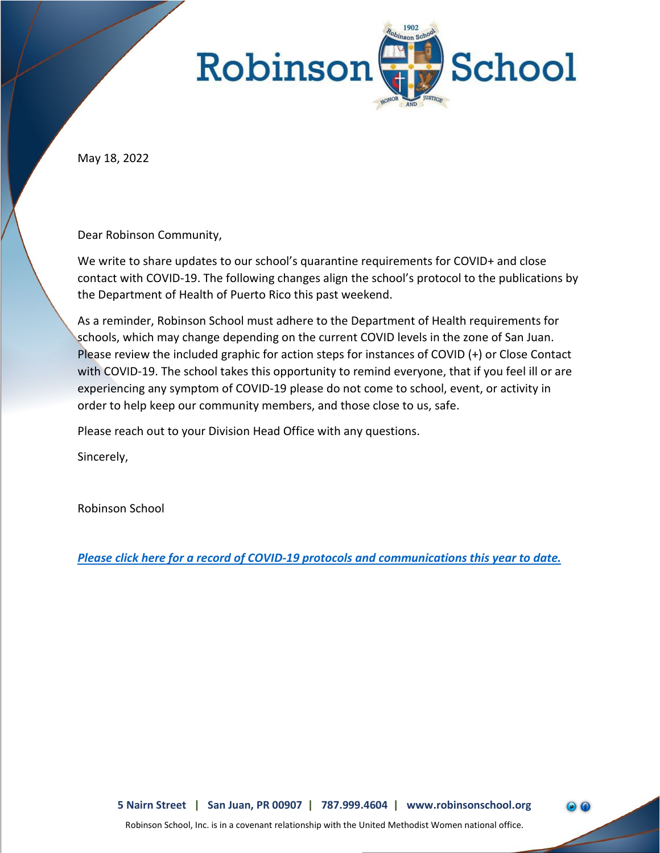

May 18, 2022

Dear Robinson Community,

We write to share updates to our school's quarantine requirements for COVID+ and close contact with COVID-19. The following changes align the school's protocol to the publications by the Department of Health of Puerto Rico this past weekend.

As a reminder, Robinson School must adhere to the Department of Health requirements for schools, which may change depending on the current COVID levels in the zone of San Juan. Please review the included graphic for action steps for instances of COVID (+) or Close Contact with COVID-19. The school takes this opportunity to remind everyone, that if you feel ill or are experiencing any symptom of COVID-19 please do not come to school, event, or activity in order to help keep our community members, and those close to us, safe.

Please reach out to your Division Head Office with any questions.

Sincerely,

Robinson School

*[Please click here for a record of COVID-19 protocols and communications this year to date.](https://www.robinsonschool.org/parent-student-information/)*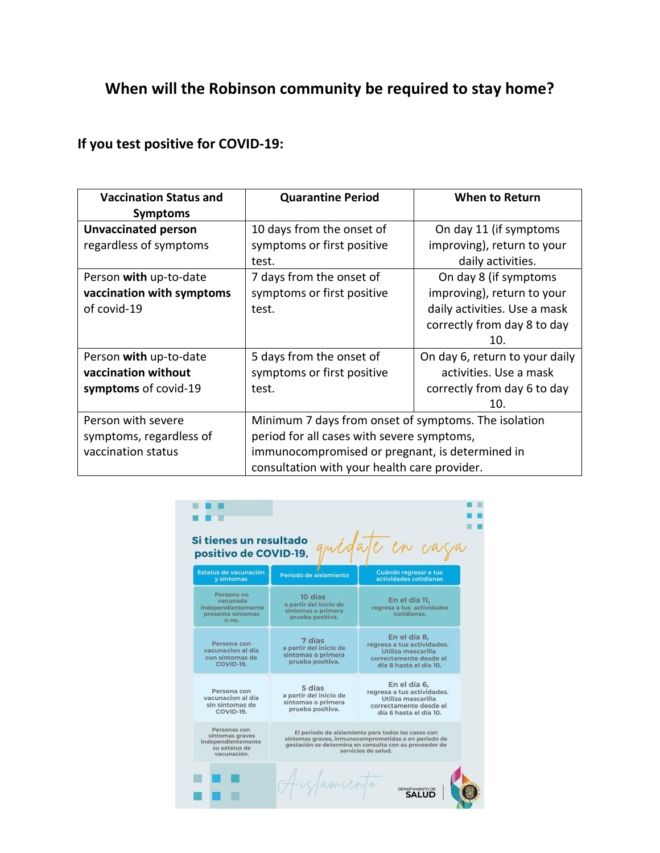## **When will the Robinson community be required to stay home?**

## **If you test positive for COVID-19:**

| <b>Vaccination Status and</b> | <b>Quarantine Period</b>                             | <b>When to Return</b>          |
|-------------------------------|------------------------------------------------------|--------------------------------|
| <b>Symptoms</b>               |                                                      |                                |
| <b>Unvaccinated person</b>    | 10 days from the onset of                            | On day 11 (if symptoms         |
| regardless of symptoms        | symptoms or first positive                           | improving), return to your     |
|                               | test.                                                | daily activities.              |
| Person with up-to-date        | 7 days from the onset of                             | On day 8 (if symptoms          |
| vaccination with symptoms     | symptoms or first positive                           | improving), return to your     |
| of covid-19                   | test.                                                | daily activities. Use a mask   |
|                               |                                                      | correctly from day 8 to day    |
|                               |                                                      | 10.                            |
| Person with up-to-date        | 5 days from the onset of                             | On day 6, return to your daily |
| vaccination without           | symptoms or first positive                           | activities. Use a mask         |
| symptoms of covid-19          | test.                                                | correctly from day 6 to day    |
|                               |                                                      | 10.                            |
| Person with severe            | Minimum 7 days from onset of symptoms. The isolation |                                |
| symptoms, regardless of       | period for all cases with severe symptoms,           |                                |
| vaccination status            | immunocompromised or pregnant, is determined in      |                                |
|                               | consultation with your health care provider.         |                                |